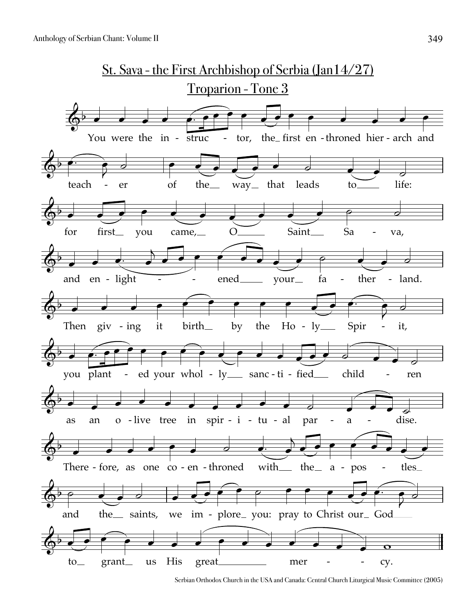

Serbian Orthodox Church in the USA and Canada: Central Church Liturgical Music Committee (2005)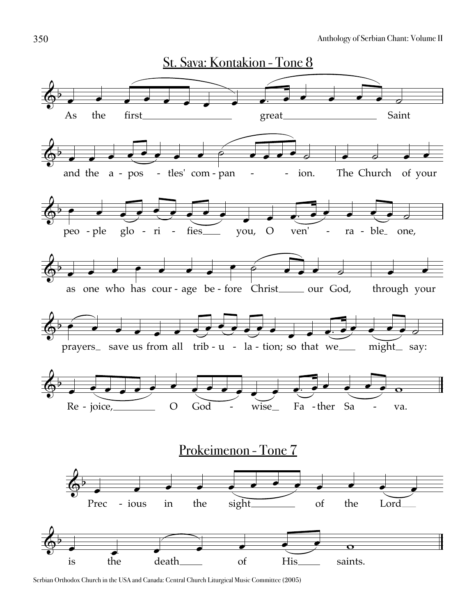

Serbian Orthodox Church in the USA and Canada: Central Church Liturgical Music Committee (2005)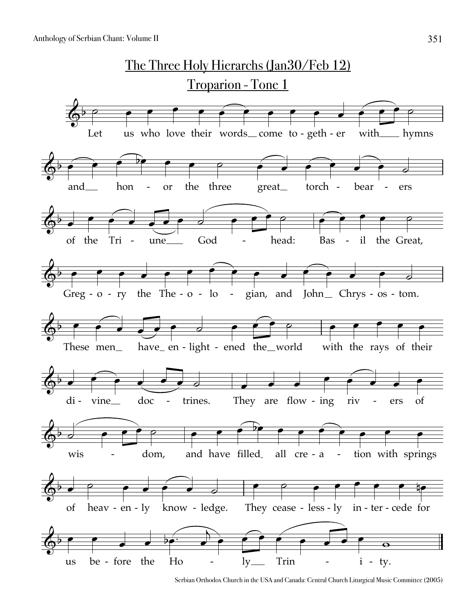

Serbian Orthodox Church in the USA and Canada: Central Church Liturgical Music Committee (2005)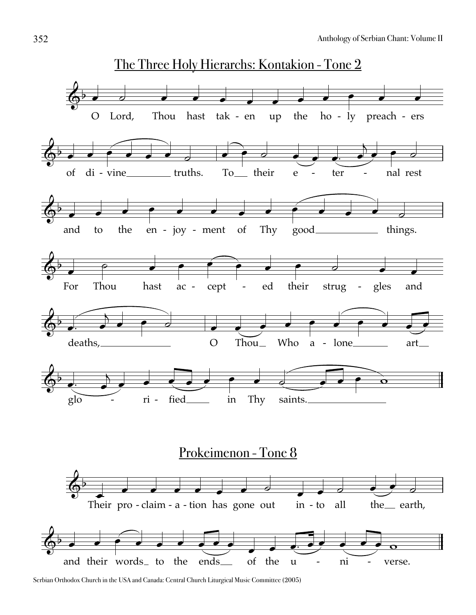

Serbian Orthodox Church in the USA and Canada: Central Church Liturgical Music Committee (2005)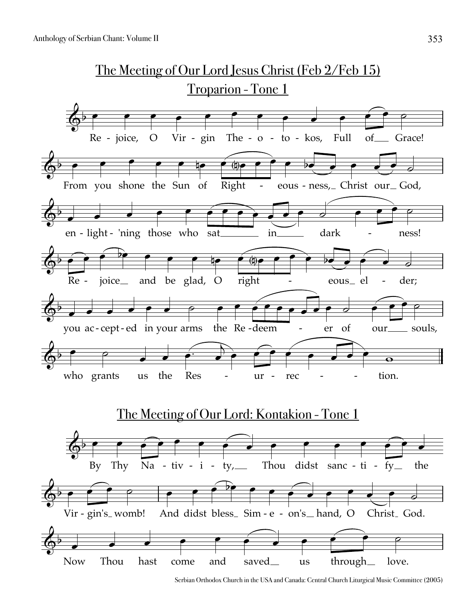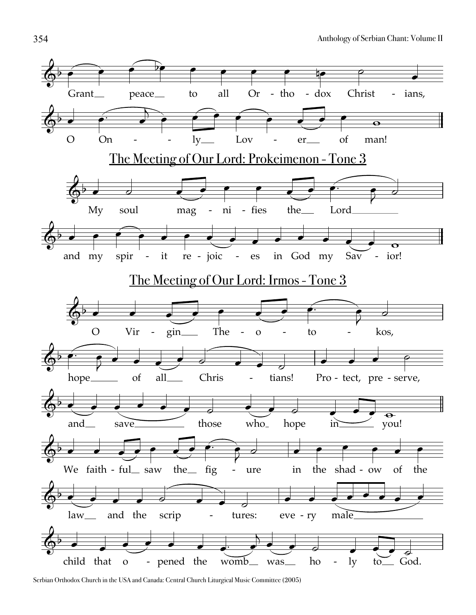

Serbian Orthodox Church in the USA and Canada: Central Church Liturgical Music Committee (2005)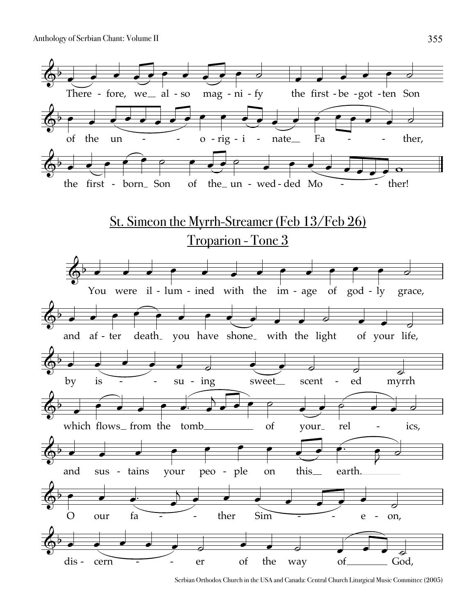

Serbian Orthodox Church in the USA and Canada: Central Church Liturgical Music Committee (2005)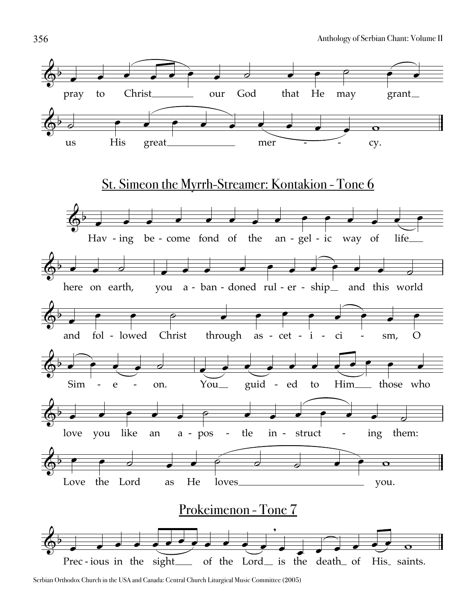

Serbian Orthodox Church in the USA and Canada: Central Church Liturgical Music Committee (2005)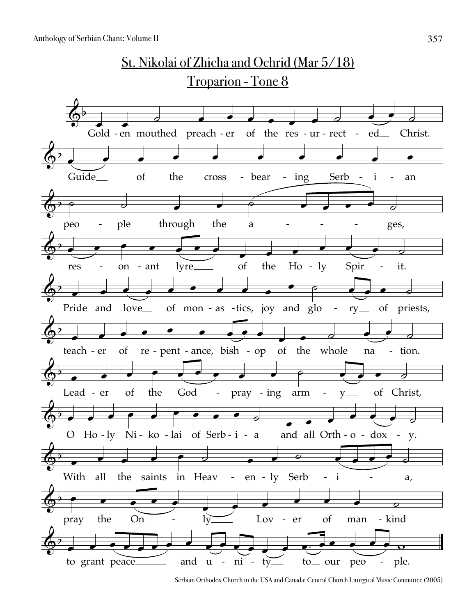

Serbian Orthodox Church in the USA and Canada: Central Church Liturgical Music Committee (2005)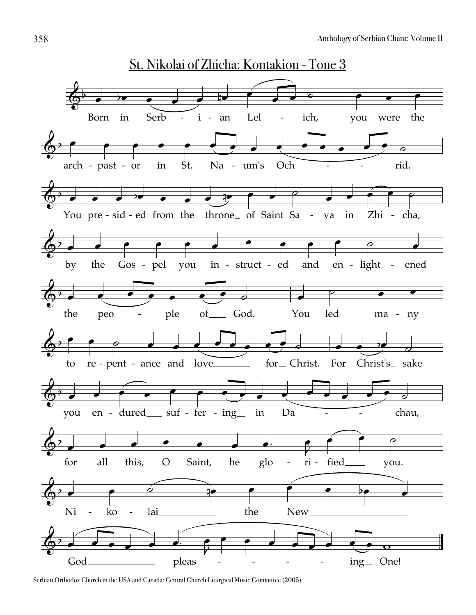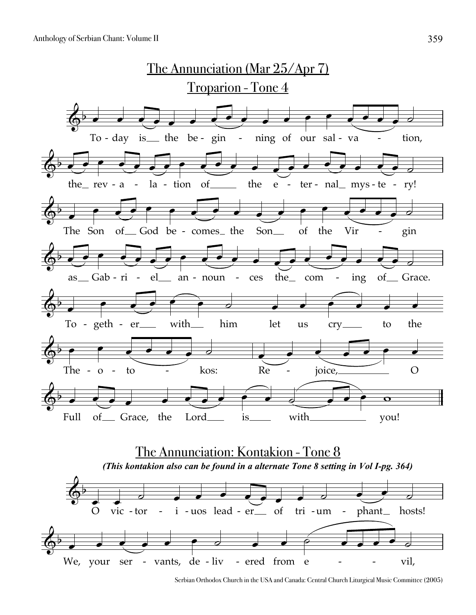

Serbian Orthodox Church in the USA and Canada: Central Church Liturgical Music Committee (2005)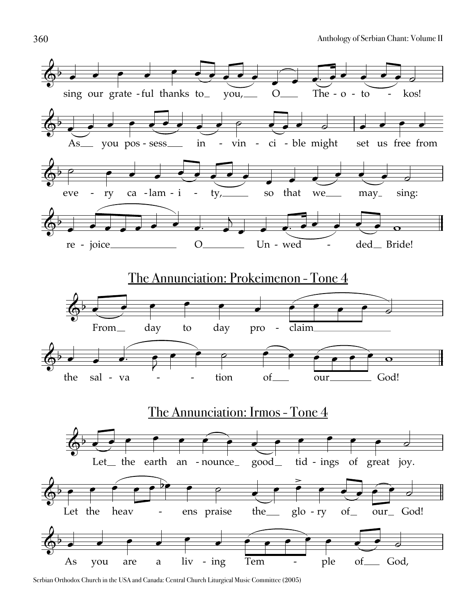

Serbian Orthodox Church in the USA and Canada: Central Church Liturgical Music Committee (2005)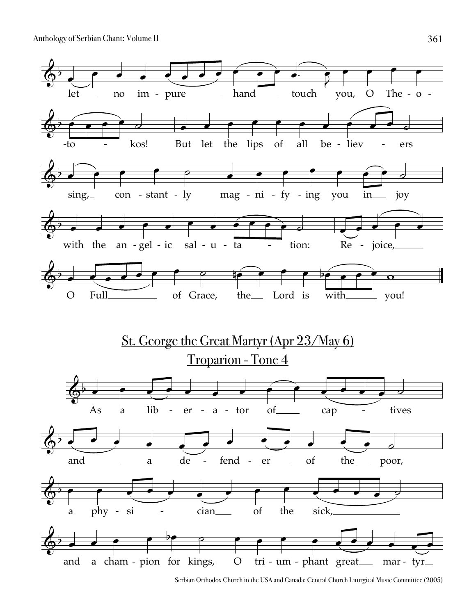

Serbian Orthodox Church in the USA and Canada: Central Church Liturgical Music Committee (2005)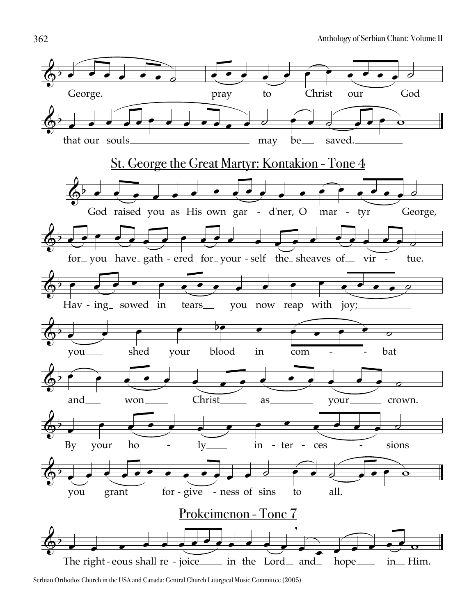

Serbian Orthodox Church in the USA and Canada: Central Church Liturgical Music Committee (2005)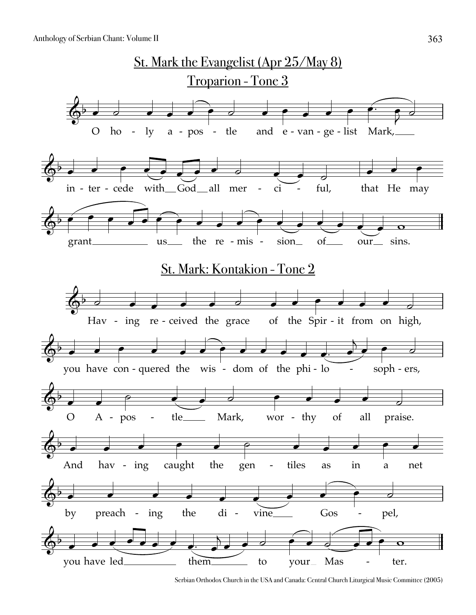

Serbian Orthodox Church in the USA and Canada: Central Church Liturgical Music Committee (2005)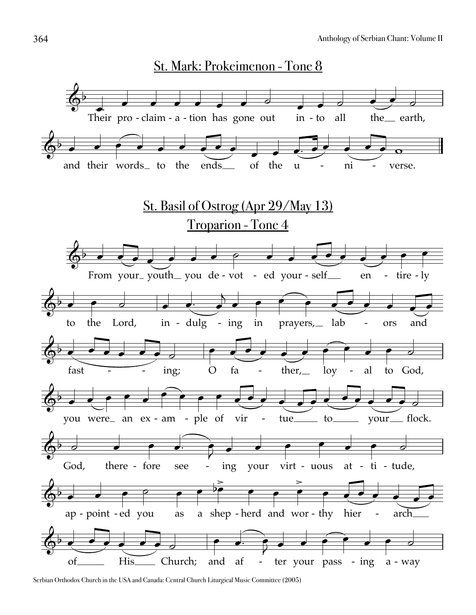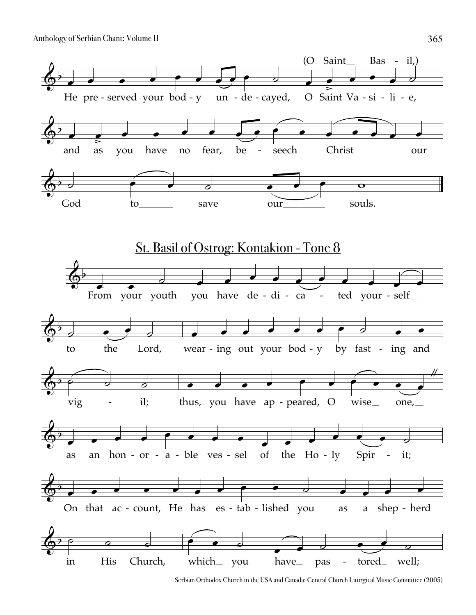

Serbian Orthodox Church in the USA and Canada: Central Church Liturgical Music Committee (2005)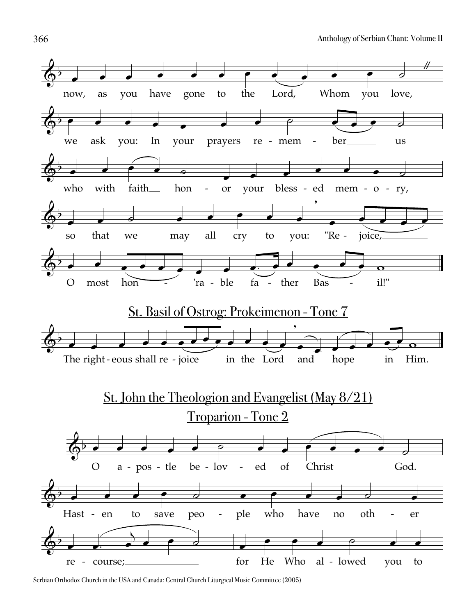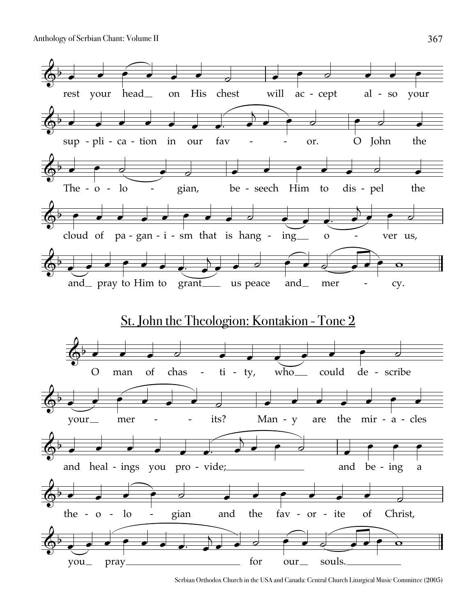

Serbian Orthodox Church in the USA and Canada: Central Church Liturgical Music Committee (2005)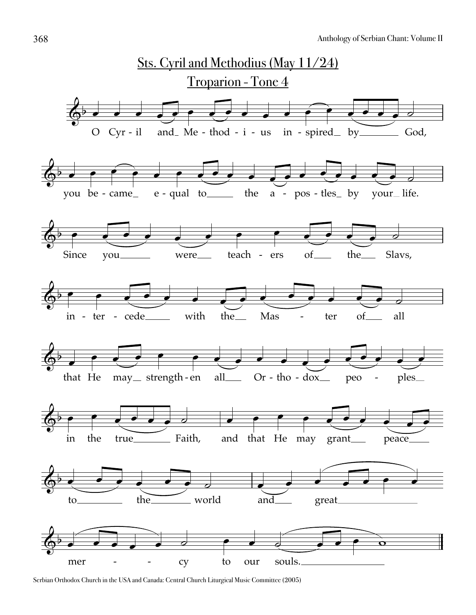

Serbian Orthodox Church in the USA and Canada: Central Church Liturgical Music Committee (2005)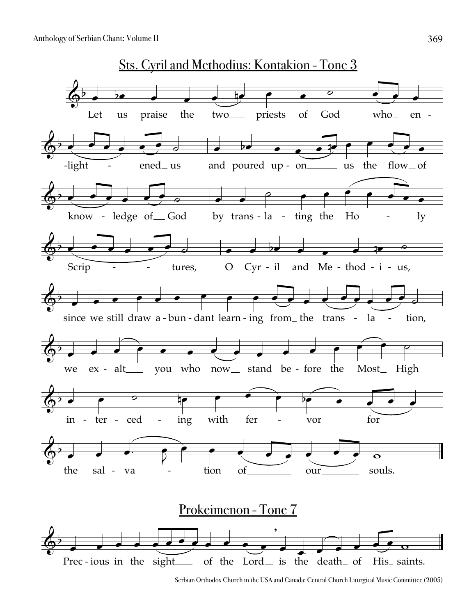

Serbian Orthodox Church in the USA and Canada: Central Church Liturgical Music Committee (2005)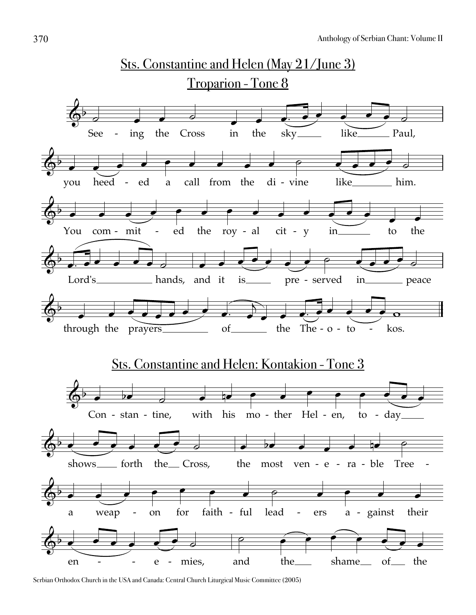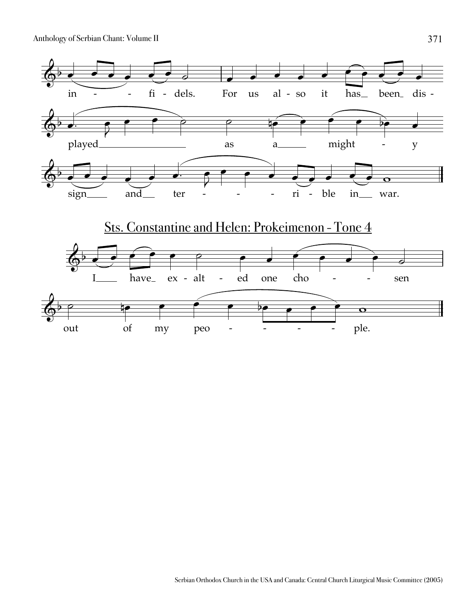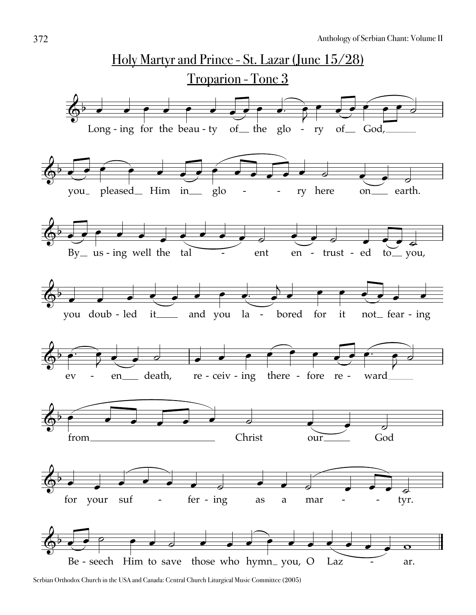

Serbian Orthodox Church in the USA and Canada: Central Church Liturgical Music Committee (2005)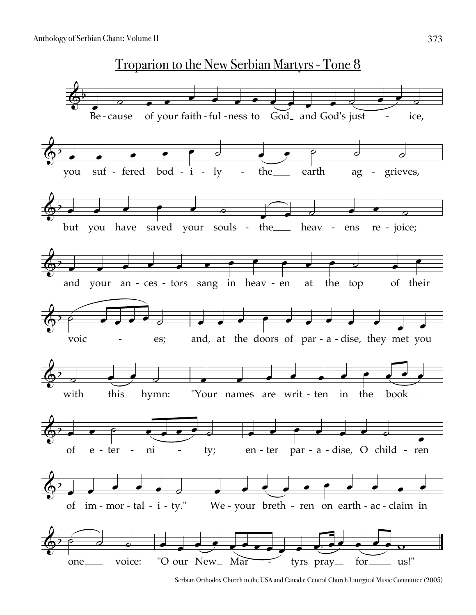

Serbian Orthodox Church in the USA and Canada: Central Church Liturgical Music Committee (2005)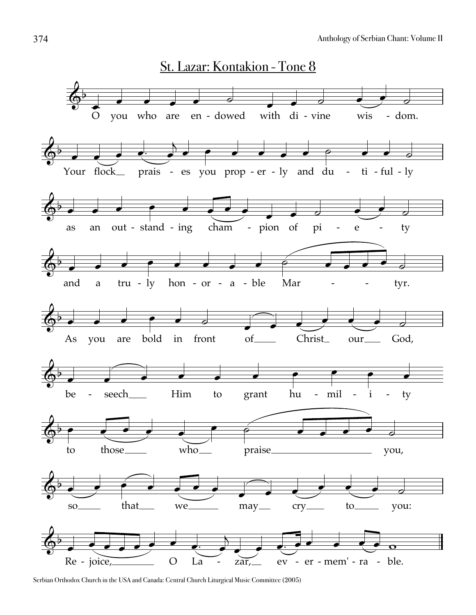